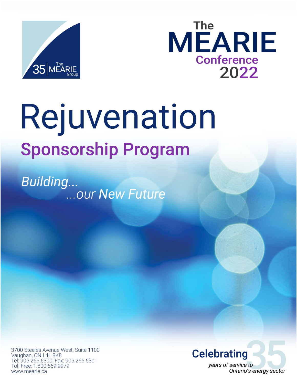



# Rejuvenation **Sponsorship Program**

**Building...** ... our New Future

3700 Steeles Avenue West, Suite 1100 Vaughan, ON L4L 8K8 Tel: 905.265.5300, Fax: 905.265.5301 Toll Free: 1.800.669.9979 www.mearie.ca

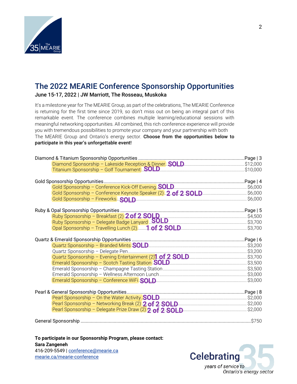

### The 2022 MEARIE Conference Sponsorship Opportunities

June 15-17, 2022 | JW Marriott, The Rosseau, Muskoka

It's a milestone year for The MEARIE Group, as part of the celebrations, The MEARIE Conference is returning for the first time since 2019, so don't miss out on being an integral part of this remarkable event. The conference combines multiple learning/educational sessions with meaningful networking opportunities. All combined, this rich conference experience will provide you with tremendous possibilities to promote your company and your partnership with both The MEARIE Group and Ontario's energy sector. Choose from the opportunities below to participate in this year's unforgettable event!

| Gold Sponsorship - Conference Keynote Speaker (2) 2. of 2. SOL.D \$6,000                                                                       |  |
|------------------------------------------------------------------------------------------------------------------------------------------------|--|
|                                                                                                                                                |  |
|                                                                                                                                                |  |
|                                                                                                                                                |  |
| Ruby Sponsorship – Breakfast (2) 2.of 2.SOLD<br>Ruby Sponsorship – Breakfast (2) 2.of 2.SOLD<br>Ruby Sponsorship – Delegate Badge Lanyard SOLD |  |
|                                                                                                                                                |  |
|                                                                                                                                                |  |
|                                                                                                                                                |  |
|                                                                                                                                                |  |
| Quartz Sponsorship - Branded Mints <b>SOLD</b> 2000 2000 2000 2000 2010 23,200                                                                 |  |
|                                                                                                                                                |  |
|                                                                                                                                                |  |
|                                                                                                                                                |  |
|                                                                                                                                                |  |
|                                                                                                                                                |  |
|                                                                                                                                                |  |
|                                                                                                                                                |  |
|                                                                                                                                                |  |
| Pearl Sponsorship - On the Water Activity. <b>SOLD</b> [ <i>maximurgare communicancessimility</i> . \$2,000                                    |  |
|                                                                                                                                                |  |
|                                                                                                                                                |  |
|                                                                                                                                                |  |
|                                                                                                                                                |  |

**To participate in our Sponsorship Program, please contact: Sara Zangeneh** 416-209-5549 | [conference@mearie.ca](mailto:conference@mearie.ca) [mearie.ca/mearie-conference](https://secure3.mearie.ca/mearie-conference?hsLang=en)

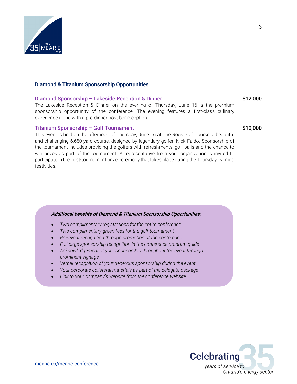

#### <span id="page-2-0"></span>Diamond & Titanium Sponsorship Opportunities

#### <span id="page-2-1"></span>Diamond Sponsorship – Lakeside Reception & Dinner **\$12,000**

The Lakeside Reception & Dinner on the evening of Thursday, June 16 is the premium sponsorship opportunity of the conference. The evening features a first-class culinary experience along with a pre-dinner host bar reception.

#### <span id="page-2-2"></span>Titanium Sponsorship – Golf Tournament  $\text{S10,000}$

This event is held on the afternoon of Thursday, June 16 at The Rock Golf Course, a beautiful and challenging 6,650-yard course, designed by legendary golfer, Nick Faldo. Sponsorship of the tournament includes providing the golfers with refreshments, golf balls and the chance to win prizes as part of the tournament. A representative from your organization is invited to participate in the post-tournament prize ceremony that takes place during the Thursday evening festivities.

#### Additional benefits of Diamond & Titanium Sponsorship Opportunities:

- *Two complimentary registrations for the entire conference*
- *Two complimentary green fees for the golf tournament*
- *Pre-event recognition through promotion of the conference*
- *Full-page sponsorship recognition in the conference program guide*
- *Acknowledgement of your sponsorship throughout the event through prominent signage*
- *Verbal recognition of your generous sponsorship during the event*
- *Your corporate collateral materials as part of the delegate package*
- *Link to your company's website from the conference website*



3

[mearie.ca/mearie-conference](https://secure3.mearie.ca/mearie-conference?hsLang=en)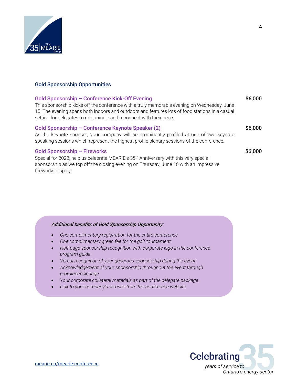

#### <span id="page-3-0"></span>Gold Sponsorship Opportunities

<span id="page-3-3"></span><span id="page-3-2"></span><span id="page-3-1"></span>

| Gold Sponsorship - Conference Kick-Off Evening<br>This sponsorship kicks off the conference with a truly memorable evening on Wednesday, June<br>15. The evening spans both indoors and outdoors and features lots of food stations in a casual<br>setting for delegates to mix, mingle and reconnect with their peers. | \$6,000 |
|-------------------------------------------------------------------------------------------------------------------------------------------------------------------------------------------------------------------------------------------------------------------------------------------------------------------------|---------|
| Gold Sponsorship - Conference Keynote Speaker (2)<br>As the keynote sponsor, your company will be prominently profiled at one of two keynote<br>speaking sessions which represent the highest profile plenary sessions of the conference.                                                                               | \$6,000 |
| <b>Gold Sponsorship - Fireworks</b><br>Special for 2022, help us celebrate MEARIE's 35 <sup>th</sup> Anniversary with this very special<br>sponsorship as we top off the closing evening on Thursday, June 16 with an impressive<br>fireworks display!                                                                  | \$6,000 |

#### Additional benefits of Gold Sponsorship Opportunity:

- *One complimentary registration for the entire conference*
- *One complimentary green fee for the golf tournament*
- *Half-page sponsorship recognition with corporate logo in the conference program guide*
- *Verbal recognition of your generous sponsorship during the event*
- *Acknowledgement of your sponsorship throughout the event through prominent signage*
- *Your corporate collateral materials as part of the delegate package*
- *Link to your company's website from the conference website*

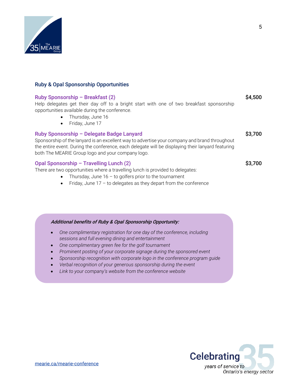

#### <span id="page-4-0"></span>Ruby & Opal Sponsorship Opportunities

#### <span id="page-4-1"></span>Ruby Sponsorship – Breakfast (2) \$4,500 Help delegates get their day off to a bright start with one of two breakfast sponsorship opportunities available during the conference. • Thursday, June 16 • Friday, June 17 Ruby Sponsorship – Delegate Badge Lanyard **\$3,700** Sponsorship of the lanyard is an excellent way to advertise your company and brand throughout

<span id="page-4-2"></span>the entire event. During the conference, each delegate will be displaying their lanyard featuring both The MEARIE Group logo and your company logo.

#### <span id="page-4-3"></span>Opal Sponsorship – Travelling Lunch (2) \$3,700

There are two opportunities where a travelling lunch is provided to delegates:

- Thursday, June  $16 -$  to golfers prior to the tournament
- $\bullet$  Friday, June 17 to delegates as they depart from the conference

#### Additional benefits of Ruby & Opal Sponsorship Opportunity:

- *One complimentary registration for one day of the conference, including sessions and full evening dining and entertainment*
- *One complimentary green fee for the golf tournament*
- *Prominent posting of your corporate signage during the sponsored event*
- *Sponsorship recognition with corporate logo in the conference program guide*
- *Verbal recognition of your generous sponsorship during the event*
- *Link to your company's website from the conference website*

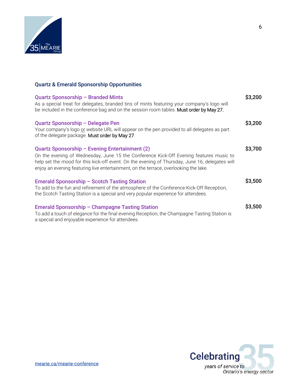

#### <span id="page-5-0"></span>Quartz & Emerald Sponsorship Opportunities

<span id="page-5-6"></span><span id="page-5-5"></span><span id="page-5-4"></span><span id="page-5-3"></span><span id="page-5-2"></span><span id="page-5-1"></span>

| Quartz Sponsorship - Branded Mints<br>As a special treat for delegates, branded tins of mints featuring your company's logo will<br>be included in the conference bag and on the session room tables. Must order by May 27.                                                                                                        | \$3,200 |
|------------------------------------------------------------------------------------------------------------------------------------------------------------------------------------------------------------------------------------------------------------------------------------------------------------------------------------|---------|
| Quartz Sponsorship - Delegate Pen<br>Your company's logo or website URL will appear on the pen provided to all delegates as part<br>of the delegate package. Must order by May 27.                                                                                                                                                 | \$3,200 |
| Quartz Sponsorship - Evening Entertainment (2)<br>On the evening of Wednesday, June 15 the Conference Kick-Off Evening features music to<br>help set the mood for this kick-off event. On the evening of Thursday, June 16, delegates will<br>enjoy an evening featuring live entertainment, on the terrace, overlooking the lake. | \$3,700 |
| <b>Emerald Sponsorship - Scotch Tasting Station</b><br>To add to the fun and refinement of the atmosphere of the Conference Kick-Off Reception,<br>the Scotch Tasting Station is a special and very popular experience for attendees.                                                                                              | \$3,500 |
| <b>Emerald Sponsorship - Champagne Tasting Station</b><br>To add a touch of elegance for the final evening Reception, the Champagne Tasting Station is<br>a special and enjoyable experience for attendees.                                                                                                                        | \$3,500 |



6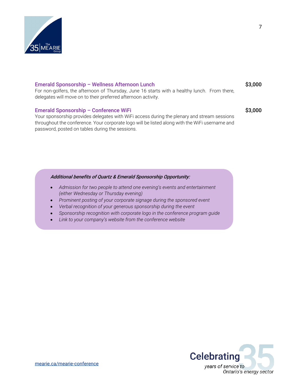

#### Emerald Sponsorship – Wellness Afternoon Lunch **\$3,000** \$3,000

For non-golfers, the afternoon of Thursday, June 16 starts with a healthy lunch. From there, delegates will move on to their preferred afternoon activity.

#### <span id="page-6-0"></span>Emerald Sponsorship – Conference WiFi  $\sim$  \$3,000

Your sponsorship provides delegates with WiFi access during the plenary and stream sessions throughout the conference. Your corporate logo will be listed along with the WiFi username and password, posted on tables during the sessions.

#### Additional benefits of Quartz & Emerald Sponsorship Opportunity:

- *Admission for two people to attend one evening's events and entertainment (either Wednesday or Thursday evening)*
- *Prominent posting of your corporate signage during the sponsored event*
- *Verbal recognition of your generous sponsorship during the event*
- *Sponsorship recognition with corporate logo in the conference program guide*
- *Link to your company's website from the conference website*

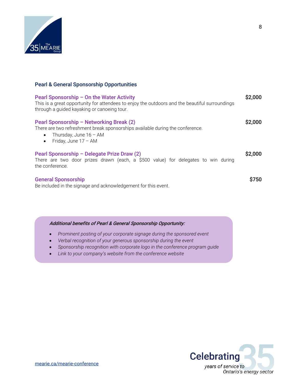

#### <span id="page-7-0"></span>Pearl & General Sponsorship Opportunities

<span id="page-7-3"></span><span id="page-7-2"></span><span id="page-7-1"></span>

| Pearl Sponsorship - On the Water Activity<br>This is a great opportunity for attendees to enjoy the outdoors and the beautiful surroundings<br>through a guided kayaking or canoeing tour.                | \$2,000            |
|-----------------------------------------------------------------------------------------------------------------------------------------------------------------------------------------------------------|--------------------|
| Pearl Sponsorship - Networking Break (2)<br>There are two refreshment break sponsorships available during the conference.<br>Thursday, June $16 - AM$<br>$\bullet$<br>Friday, June $17 - AM$<br>$\bullet$ | S <sub>2.000</sub> |
| Pearl Sponsorship - Delegate Prize Draw (2)<br>There are two door prizes drawn (each, a \$500 value) for delegates to win during<br>the conference.                                                       | \$2,000            |
| <b>General Sponsorship</b><br>Be included in the signage and acknowledgement for this event.                                                                                                              | S750               |

#### <span id="page-7-4"></span>Additional benefits of Pearl & General Sponsorship Opportunity:

- *Prominent posting of your corporate signage during the sponsored event*
- *Verbal recognition of your generous sponsorship during the event*
- *Sponsorship recognition with corporate logo in the conference program guide*
- *Link to your company's website from the conference website*

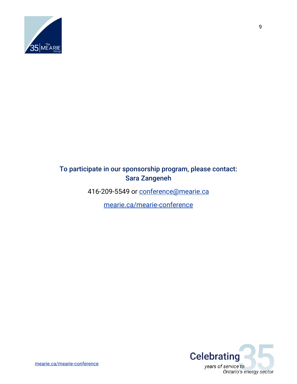

#### To participate in our sponsorship program, please contact: Sara Zangeneh

416-209-5549 or [conference@mearie.ca](mailto:conference@mearie.ca)

[mearie.ca/mearie-conference](https://secure2.mearie.ca/imis15/MG/conferences/The_MEARIE_Conference/MG/Conferences/MEARIE_Conference/MEARIE_Conference_Home.aspx?hkey=667dddb1-88ee-4458-9ddf-0fc0bcfd0214)